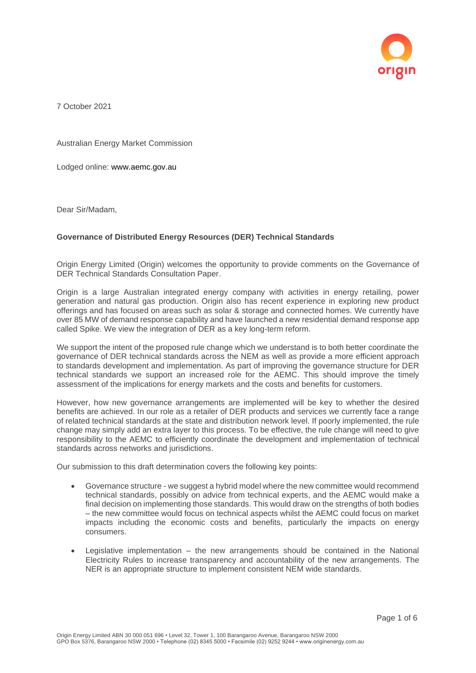

7 October 2021

Australian Energy Market Commission

Lodged online: www.aemc.gov.au

Dear Sir/Madam,

## **Governance of Distributed Energy Resources (DER) Technical Standards**

Origin Energy Limited (Origin) welcomes the opportunity to provide comments on the Governance of DER Technical Standards Consultation Paper.

Origin is a large Australian integrated energy company with activities in energy retailing, power generation and natural gas production. Origin also has recent experience in exploring new product offerings and has focused on areas such as solar & storage and connected homes. We currently have over 85 MW of demand response capability and have launched a new residential demand response app called Spike. We view the integration of DER as a key long-term reform.

We support the intent of the proposed rule change which we understand is to both better coordinate the governance of DER technical standards across the NEM as well as provide a more efficient approach to standards development and implementation. As part of improving the governance structure for DER technical standards we support an increased role for the AEMC. This should improve the timely assessment of the implications for energy markets and the costs and benefits for customers.

However, how new governance arrangements are implemented will be key to whether the desired benefits are achieved. In our role as a retailer of DER products and services we currently face a range of related technical standards at the state and distribution network level. If poorly implemented, the rule change may simply add an extra layer to this process. To be effective, the rule change will need to give responsibility to the AEMC to efficiently coordinate the development and implementation of technical standards across networks and jurisdictions.

Our submission to this draft determination covers the following key points:

- Governance structure we suggest a hybrid model where the new committee would recommend technical standards, possibly on advice from technical experts, and the AEMC would make a final decision on implementing those standards. This would draw on the strengths of both bodies – the new committee would focus on technical aspects whilst the AEMC could focus on market impacts including the economic costs and benefits, particularly the impacts on energy consumers.
- Legislative implementation the new arrangements should be contained in the National Electricity Rules to increase transparency and accountability of the new arrangements. The NER is an appropriate structure to implement consistent NEM wide standards.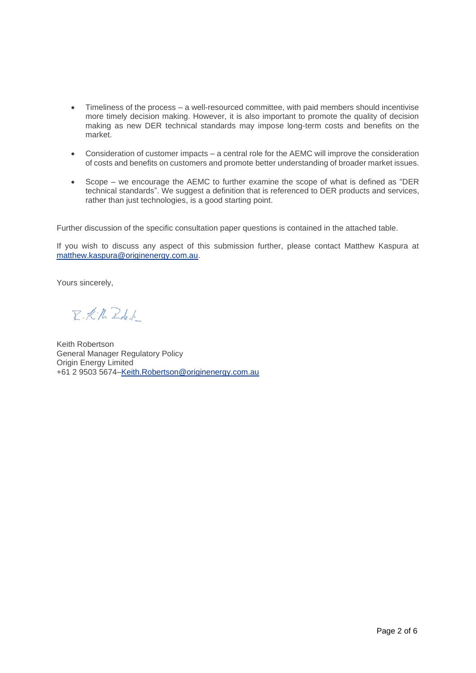- Timeliness of the process a well-resourced committee, with paid members should incentivise more timely decision making. However, it is also important to promote the quality of decision making as new DER technical standards may impose long-term costs and benefits on the market.
- Consideration of customer impacts a central role for the AEMC will improve the consideration of costs and benefits on customers and promote better understanding of broader market issues.
- Scope we encourage the AEMC to further examine the scope of what is defined as "DER technical standards". We suggest a definition that is referenced to DER products and services, rather than just technologies, is a good starting point.

Further discussion of the specific consultation paper questions is contained in the attached table.

If you wish to discuss any aspect of this submission further, please contact Matthew Kaspura at [matthew.kaspura@originenergy.com.au.](mailto:shaun.cole@originenergy.com.au)

Yours sincerely,

R.K.N. Rd.f.

Keith Robertson General Manager Regulatory Policy Origin Energy Limited +61 2 9503 5674[–Keith.Robertson@originenergy.com.au](mailto:Keith.Robertson@originenergy.com.au)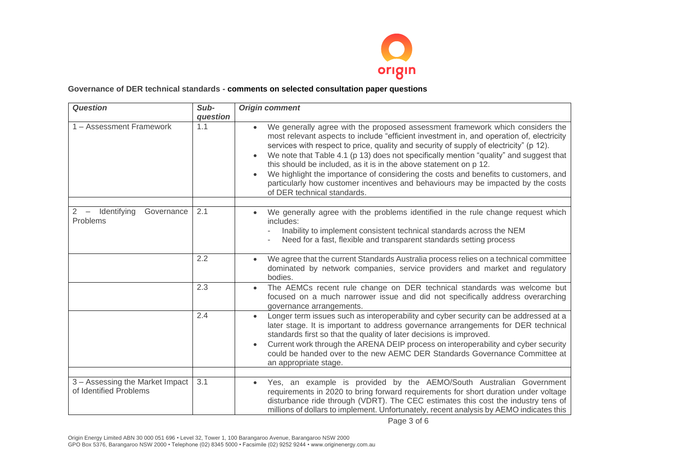

## **Governance of DER technical standards - comments on selected consultation paper questions**

| <b>Question</b>                                           | Sub-            | <b>Origin comment</b>                                                                                                                                                                                                                                                                                                                                                                                                                                                                                                                                       |
|-----------------------------------------------------------|-----------------|-------------------------------------------------------------------------------------------------------------------------------------------------------------------------------------------------------------------------------------------------------------------------------------------------------------------------------------------------------------------------------------------------------------------------------------------------------------------------------------------------------------------------------------------------------------|
| 1 - Assessment Framework                                  | question<br>1.1 | We generally agree with the proposed assessment framework which considers the                                                                                                                                                                                                                                                                                                                                                                                                                                                                               |
|                                                           |                 | most relevant aspects to include "efficient investment in, and operation of, electricity<br>services with respect to price, quality and security of supply of electricity" (p 12).<br>We note that Table 4.1 (p 13) does not specifically mention "quality" and suggest that<br>this should be included, as it is in the above statement on p 12.<br>We highlight the importance of considering the costs and benefits to customers, and<br>particularly how customer incentives and behaviours may be impacted by the costs<br>of DER technical standards. |
| Identifying<br>Governance<br>2                            | 2.1             | We generally agree with the problems identified in the rule change request which                                                                                                                                                                                                                                                                                                                                                                                                                                                                            |
| Problems                                                  |                 | includes:                                                                                                                                                                                                                                                                                                                                                                                                                                                                                                                                                   |
|                                                           |                 | Inability to implement consistent technical standards across the NEM<br>Need for a fast, flexible and transparent standards setting process                                                                                                                                                                                                                                                                                                                                                                                                                 |
|                                                           | 2.2             | We agree that the current Standards Australia process relies on a technical committee<br>dominated by network companies, service providers and market and regulatory<br>bodies.                                                                                                                                                                                                                                                                                                                                                                             |
|                                                           | 2.3             | The AEMCs recent rule change on DER technical standards was welcome but<br>focused on a much narrower issue and did not specifically address overarching<br>governance arrangements.                                                                                                                                                                                                                                                                                                                                                                        |
|                                                           | 2.4             | Longer term issues such as interoperability and cyber security can be addressed at a<br>later stage. It is important to address governance arrangements for DER technical<br>standards first so that the quality of later decisions is improved.<br>Current work through the ARENA DEIP process on interoperability and cyber security<br>could be handed over to the new AEMC DER Standards Governance Committee at<br>an appropriate stage.                                                                                                               |
|                                                           |                 |                                                                                                                                                                                                                                                                                                                                                                                                                                                                                                                                                             |
| 3 - Assessing the Market Impact<br>of Identified Problems | 3.1             | Yes, an example is provided by the AEMO/South Australian Government<br>requirements in 2020 to bring forward requirements for short duration under voltage<br>disturbance ride through (VDRT). The CEC estimates this cost the industry tens of<br>millions of dollars to implement. Unfortunately, recent analysis by AEMO indicates this                                                                                                                                                                                                                  |

Page 3 of 6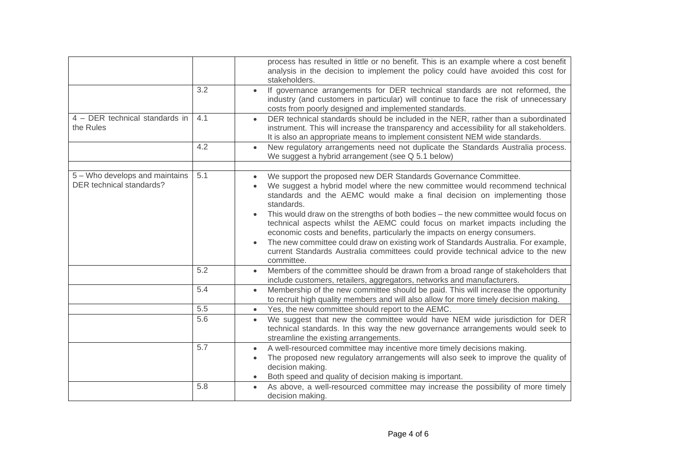|                                                            |     | process has resulted in little or no benefit. This is an example where a cost benefit<br>analysis in the decision to implement the policy could have avoided this cost for<br>stakeholders.                                                                                                                                             |
|------------------------------------------------------------|-----|-----------------------------------------------------------------------------------------------------------------------------------------------------------------------------------------------------------------------------------------------------------------------------------------------------------------------------------------|
|                                                            | 3.2 | If governance arrangements for DER technical standards are not reformed, the<br>$\bullet$<br>industry (and customers in particular) will continue to face the risk of unnecessary<br>costs from poorly designed and implemented standards.                                                                                              |
| 4 - DER technical standards in<br>the Rules                | 4.1 | DER technical standards should be included in the NER, rather than a subordinated<br>$\bullet$<br>instrument. This will increase the transparency and accessibility for all stakeholders.<br>It is also an appropriate means to implement consistent NEM wide standards.                                                                |
|                                                            | 4.2 | New regulatory arrangements need not duplicate the Standards Australia process.<br>We suggest a hybrid arrangement (see Q 5.1 below)                                                                                                                                                                                                    |
|                                                            |     |                                                                                                                                                                                                                                                                                                                                         |
| 5 - Who develops and maintains<br>DER technical standards? | 5.1 | We support the proposed new DER Standards Governance Committee.<br>We suggest a hybrid model where the new committee would recommend technical<br>standards and the AEMC would make a final decision on implementing those<br>standards.                                                                                                |
|                                                            |     | This would draw on the strengths of both bodies - the new committee would focus on<br>technical aspects whilst the AEMC could focus on market impacts including the<br>economic costs and benefits, particularly the impacts on energy consumers.<br>The new committee could draw on existing work of Standards Australia. For example, |
|                                                            |     | current Standards Australia committees could provide technical advice to the new<br>committee.                                                                                                                                                                                                                                          |
|                                                            | 5.2 | Members of the committee should be drawn from a broad range of stakeholders that<br>$\bullet$<br>include customers, retailers, aggregators, networks and manufacturers.                                                                                                                                                                 |
|                                                            | 5.4 | Membership of the new committee should be paid. This will increase the opportunity<br>$\bullet$<br>to recruit high quality members and will also allow for more timely decision making.                                                                                                                                                 |
|                                                            | 5.5 | Yes, the new committee should report to the AEMC.<br>$\bullet$                                                                                                                                                                                                                                                                          |
|                                                            | 5.6 | We suggest that new the committee would have NEM wide jurisdiction for DER<br>$\bullet$<br>technical standards. In this way the new governance arrangements would seek to<br>streamline the existing arrangements.                                                                                                                      |
|                                                            | 5.7 | A well-resourced committee may incentive more timely decisions making.<br>The proposed new regulatory arrangements will also seek to improve the quality of<br>decision making.<br>Both speed and quality of decision making is important.                                                                                              |
|                                                            | 5.8 | As above, a well-resourced committee may increase the possibility of more timely                                                                                                                                                                                                                                                        |
|                                                            |     | decision making.                                                                                                                                                                                                                                                                                                                        |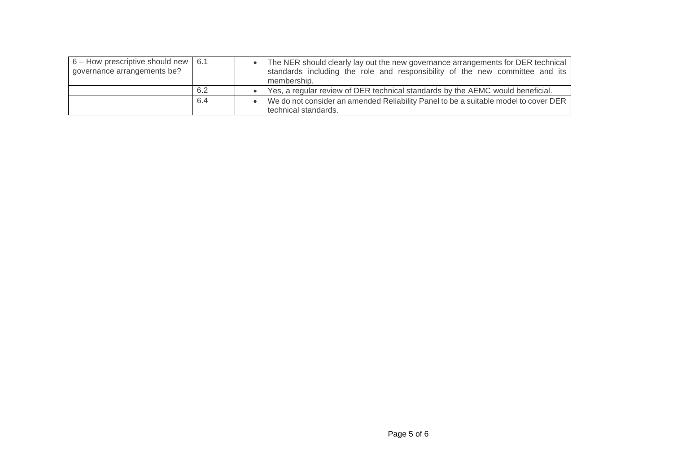| $6 -$ How prescriptive should new   6.1<br>governance arrangements be? |     | The NER should clearly lay out the new governance arrangements for DER technical<br>standards including the role and responsibility of the new committee and its<br>membership. |
|------------------------------------------------------------------------|-----|---------------------------------------------------------------------------------------------------------------------------------------------------------------------------------|
|                                                                        | 6.2 | • Yes, a regular review of DER technical standards by the AEMC would beneficial.                                                                                                |
|                                                                        | 6.4 | We do not consider an amended Reliability Panel to be a suitable model to cover DER<br>technical standards.                                                                     |